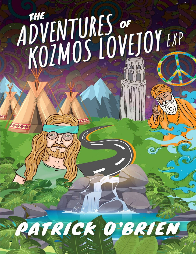# THE ADVENTURES OF BUTCH



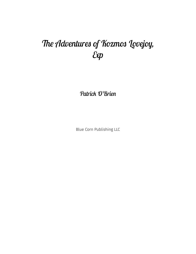# The Adventures of Kozmos Lovejoy,  $\mathcal{E}$

Patrick O'Brien

Blue Corn Publishing LLC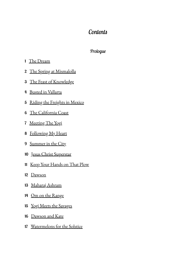### *Content*

### *[Prologu](#page-7-0)*

### <span id="page-2-0"></span>The Dream

- [The Spring at Mismalolla](#page-8-0)
- The Feast of Knowledge
- Busted in Vallarta
- Riding the Freights in Mexico
- The California Coast
- Meeting The Yogi
- Following My Heart
- Summer in the City
- Jesus Christ Superstar
- Keep Your Hands on That Plow
- Dawson
- Maharaj Ashram
- Om on the Range
- Yogi Meets the Savages
- Dawson and Kate
- Watermelons for the Solstice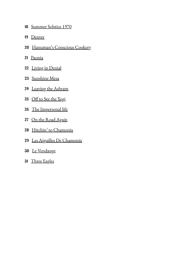- Summer Solstice 1970
- Denver
- Hanuman's Conscious Cookery
- Paonia
- Living in Denial
- Sunshine Mesa
- Leaving the Ashram
- 25 Off to See the Yogi
- The Impersonal life
- On the Road Again
- Hitchin' to Chamonix
- Les Aiguilles De Chamonix
- Le Vendange
- Three Eagles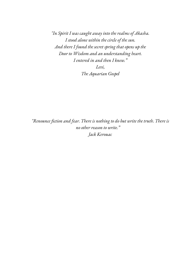*"In Spirit I was caught away into the realms of Akasha. I stood alone within the circle of the sun. And there I found the secret spring that opens up the Door to Wisdom and an understanding heart. I entered in and then I knew." Levi, The Aquarian Gospel*

*"Renounce fiction and fear. There is nothing to do but write the truth. There is no other reason to write." Jack Kerouac*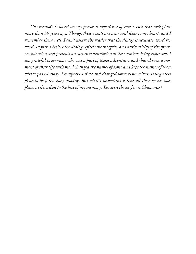*This memoir is based on my personal experience of real events that took place more than 50 years ago. Though these events are near and dear to my heart, and I remember them well, I can't assure the reader that the dialog is accurate, word for word. In fact, I believe the dialog reflects the integrity and authenticity of the speakers intention and presents an accurate description of the emotions being expressed. I am grateful to everyone who was a part of theses adventures and shared even a moment of their life with me. I changed the names of some and kept the names of those who've passed away. I compressed time and changed some scenes where dialog takes place to keep the story moving. But what's important is that all these events took place, as described to the best of my memory. Yes, even the eagles in Chamonix!*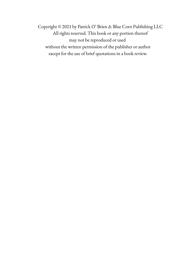Copyright © 2021 by Patrick O' Brien & Blue Corn Publishing LLC All rights reserved. This book or any portion thereof may not be reproduced or used without the written permission of the publisher or author except for the use of brief quotations in a book review.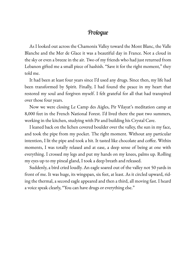### *Prologu*

<span id="page-7-0"></span>As I looked out across the Chamonix Valley toward the Mont Blanc, the Valle Blanche and the Mer de Glace it was a beautiful day in France. Not a cloud in the sky or even a breeze in the air. Two of my friends who had just returned from Lebanon gifted me a small piece of hashish. "Save it for the right moment," they told me.

It had been at least four years since I'd used any drugs. Since then, my life had been transformed by Spirit. Finally, I had found the peace in my heart that restored my soul and forgiven myself. I felt grateful for all that had transpired over those four years.

Now we were closing Le Camp des Aigles, Pir Vilayat's meditation camp at 8,000 feet in the French National Forest. I'd lived there the past two summers, working in the kitchen, studying with Pir and building his Crystal Cave.

I leaned back on the lichen covered boulder over the valley, the sun in my face, and took the pipe from my pocket. The right moment. Without any particular intention, I lit the pipe and took a hit. It tasted like chocolate and coffee. Within moments, I was totally relaxed and at ease, a deep sense of being at one with everything. I crossed my legs and put my hands on my knees, palms up. Rolling my eyes up to my pineal gland, I took a deep breath and released.

Suddenly, a bird cried loudly. An eagle soared out of the valley not 50 yards in front of me. It was huge, its wingspan, six feet, at least. As it circled upward, riding the thermal, a second eagle appeared and then a third, all moving fast. I heard a voice speak clearly, "You can have drugs or everything else."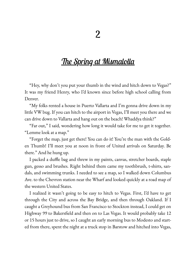## <span id="page-8-0"></span><u>The Spring at [Mismaloll](#page-2-0)a</u>

"Hey, why don't you put your thumb in the wind and hitch down to Vegas?" It was my friend Henry, who I'd known since before high school calling from Denver.

"My folks rented a house in Puerto Vallarta and I'm gonna drive down in my little VW bug. If you can hitch to the airport in Vegas, I'll meet you there and we can drive down to Vallarta and hang out on the beach! Whaddya think?"

"Far out," I said, wondering how long it would take for me to get it together. "Lemme look at a map."

"Forget the map, just get there! You can do it! You're the man with the Golden Thumb! I'll meet you at noon in front of United arrivals on Saturday. Be there." And he hung up.

I packed a duffle bag and threw in my paints, canvas, stretcher boards, staple gun, gesso and brushes. Right behind them came my toothbrush, t-shirts, sandals, and swimming trunks. I needed to see a map, so I walked down Columbus Ave. to the Chevron station near the Wharf and looked quickly at a road map of the western United States.

I realized it wasn't going to be easy to hitch to Vegas. First, I'd have to get through the City and across the Bay Bridge, and then through Oakland. If I caught a Greyhound bus from San Francisco to Stockton instead, I could get on Highway 99 to Bakersfield and then on to Las Vegas. It would probably take 12 or 15 hours just to drive, so I caught an early morning bus to Modesto and started from there, spent the night at a truck stop in Barstow and hitched into Vegas,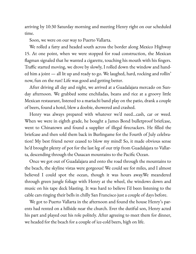arriving by 10:30 Saturday morning and meeting Henry right on our scheduled time.

Soon, we were on our way to Puerto Vallarta.

We rolled a fatty and headed south across the border along Mexico Highway 15. At one point, when we were stopped for road construction, the Mexican flagman signaled that he wanted a cigarette, touching his mouth with his fingers. Traffic started moving, we drove by slowly, I rolled down the window and handed him a joint — all lit up and ready to go. We laughed, hard, rocking and rollin' now, fun on the run! Life was good and getting better.

After driving all day and night, we arrived at a Guadalajara mercado on Sunday afternoon. We grabbed some enchiladas, beans and rice at a groovy little Mexican restaurant, listened to a mariachi band play on the patio, drank a couple of beers, found a hotel, blew a doobie, showered and crashed.

Henry was always prepared with whatever we'd need…cash, car or weed. When we were in eighth grade, he bought a James Bond bulletproof briefcase, went to Chinatown and found a supplier of illegal firecrackers. He filled the briefcase and then sold them back in Burlingame for the Fourth of July celebration! My best friend never ceased to blow my mind! So, it made obvious sense he'd brought plenty of pot for the last leg of our trip from Guadalajara to Vallarta, descending through the Oaxacan mountains to the Pacific Ocean.

Once we got out of Guadalajara and onto the road through the mountains to the beach, the skyline vistas were gorgeous! We could see for miles, and I almost believed I could spot the ocean, though it was hours away.We meandered through green jungle foliage with Henry at the wheel, the windows down and music on his tape deck blasting. It was hard to believe I'd been listening to the cable cars ringing their bells in chilly San Francisco just a couple of days before.

We got to Puerto Vallarta in the afternoon and found the house Henry's parents had rented on a hillside near the church. Ever the dutiful son, Henry acted his part and played out his role politely. After agreeing to meet them for dinner, we headed for the beach for a couple of ice-cold beers, high on life.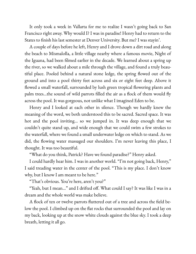It only took a week in Vallarta for me to realize I wasn't going back to San Francisco right away. Why would I? I was in paradise! Henry had to return to the States to finish his last semester at Denver University. But me? I was stayin'.

A couple of days before he left, Henry and I drove down a dirt road and along the beach to Mismalolla, a little village nearby where a famous movie, Night of the Iguana, had been filmed earlier in the decade. We learned about a spring up the river, so we walked about a mile through the village, and found a truly beautiful place. Pooled behind a natural stone ledge, the spring flowed out of the ground and into a pool thirty feet across and six or eight feet deep. Above it flowed a small waterfall, surrounded by lush green tropical flowering plants and palm trees...the sound of wild parrots filled the air as a flock of them would fly across the pool. It was gorgeous, not unlike what I imagined Eden to be.

Henry and I looked at each other in silence. Though we hardly knew the meaning of the word, we both understood this to be sacred. Sacred space. It was hot and the pool inviting… so we jumped in. It was deep enough that we couldn't quite stand up, and wide enough that we could swim a few strokes to the waterfall, where we found a small underwater ledge on which to stand. As we did, the flowing water massaged our shoulders. I'm never leaving this place, I thought. It was too beautiful.

"What do you think, Patrick? Have we found paradise?" Henry asked.

I could hardly hear him. I was in another world. "I'm not going back, Henry," I said treading water in the center of the pool. "This is my place. I don't know why, but I know I am meant to be here."

"That's obvious. You're here, aren't you?"

"Yeah, but I mean..." and I drifted off. What could I say? It was like I was in a dream and the whole world was make believe.

A flock of ten or twelve parrots fluttered out of a tree and across the field below the pool. I climbed up on the flat rocks that surrounded the pool and lay on my back, looking up at the snow white clouds against the blue sky. I took a deep breath, letting it all go.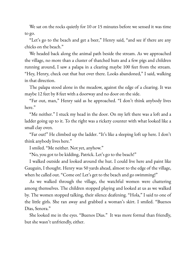We sat on the rocks quietly for 10 or 15 minutes before we sensed it was time to go.

"Let's go to the beach and get a beer," Henry said, "and see if there are any chicks on the beach."

We headed back along the animal path beside the stream. As we approached the village, no more than a cluster of thatched huts and a few pigs and children running around, I saw a palapa in a clearing maybe 100 feet from the stream. "Hey, Henry, check out that hut over there. Looks abandoned," I said, walking in that direction.

The palapa stood alone in the meadow, against the edge of a clearing. It was maybe 12 feet by 8 feet with a doorway and no door on the side.

"Far out, man," Henry said as he approached. "I don't think anybody lives here."

"Me neither." I stuck my head in the door. On my left there was a loft and a ladder going up to it. To the right was a rickety counter with what looked like a small clay oven.

"Far out!" He climbed up the ladder. "It's like a sleeping loft up here. I don't think anybody lives here."

I smiled. "Me neither. Not yet, anyhow."

"No, you got to be kidding, Patrick. Let's go to the beach!"

I walked outside and looked around the hut. I could live here and paint like Gauguin, I thought. Henry was 50 yards ahead, almost to the edge of the village, when he called out. "Come on! Let's get to the beach and go swimming!"

As we walked through the village, the watchful women were chattering among themselves. The children stopped playing and looked at us as we walked by. The women stopped talking, their silence deafening. "Hola," I said to one of the little girls. She ran away and grabbed a woman's skirt. I smiled. "Buenos Dias, Senora."

She looked me in the eyes. "Buenos Dias." It was more formal than friendly, but she wasn't unfriendly, either.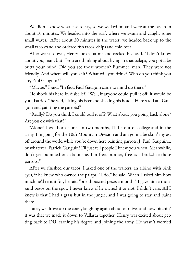We didn't know what else to say, so we walked on and were at the beach in about 10 minutes. We headed into the surf, where we swam and caught some small waves. After about 20 minutes in the water, we headed back up to the small taco stand and ordered fish tacos, chips and cold beer.

After we sat down, Henry looked at me and cocked his head. "I don't know about you, man, but if you are thinking about living in that palapa, you gotta be outta your mind. Did you see those women? Bummer, man. They were not friendly. And where will you shit? What will you drink? Who do you think you are, Paul Gauguin?"

"Maybe," I said. "In fact, Paul Gauguin came to mind up there."

He shook his head in disbelief. "Well, if anyone could pull it off, it would be you, Patrick," he said, lifting his beer and shaking his head. "Here's to Paul Gauguin and painting the parrots!"

"Really? Do you think I could pull it off? What about you going back alone? Are you ok with that?"

"Alone? I was born alone! In two months, I'll be out of college and in the army. I'm going for the 10th Mountain Division and am gonna be skiin' my ass off around the world while you're down here painting parrots. J. Paul Gauguin... or whatever. Patrick Gauguin! I'll just tell people I knew you when. Meanwhile, don't get bummed out about me. I'm free, brother, free as a bird…like those parrots!"

After we finished our tacos, I asked one of the waiters, an albino with pink eyes, if he knew who owned the palapa. "I do," he said. When I asked him how much he'd rent it for, he said "one thousand pesos a month." I gave him a thousand pesos on the spot. I never knew if he owned it or not. I didn't care. All I knew is that I had a grass hut in the jungle, and I was going to stay and paint there.

Later, we drove up the coast, laughing again about our lives and how bitchin' it was that we made it down to Vallarta together. Henry was excited about getting back to DU, earning his degree and joining the army. He wasn't worried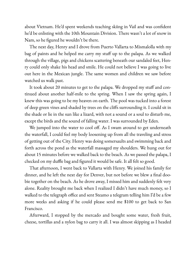about Vietnam. He'd spent weekends teaching skiing in Vail and was confident he'd be enlisting with the 10th Mountain Division. There wasn't a lot of snow in Nam, so he figured he wouldn't be there.

The next day, Henry and I drove from Puerto Vallarta to Mismalolla with my bag of paints and he helped me carry my stuff up to the palapa. As we walked through the village, pigs and chickens scattering beneath our sandaled feet, Henry could only shake his head and smile. He could not believe I was going to live out here in the Mexican jungle. The same women and children we saw before watched us walk past.

It took about 20 minutes to get to the palapa. We dropped my stuff and continued about another half-mile to the spring. When I saw the spring again, I knew this was going to be my heaven on earth. The pool was tucked into a forest of deep green vines and shaded by trees on the cliffs surrounding it. I could sit in the shade or lie in the sun like a lizard, with not a sound or a soul to disturb me, except the birds and the sound of falling water. I was surrounded by Eden.

We jumped into the water to cool off. As I swam around to get underneath the waterfall, I could feel my body loosening up from all the traveling and stress of getting out of the City. Henry was doing somersaults and swimming back and forth across the pond as the waterfall massaged my shoulders. We hung out for about 15 minutes before we walked back to the beach. As we passed the palapa, I checked on my duffle bag and figured it would be safe. It all felt so good.

That afternoon, I went back to Vallarta with Henry. We joined his family for dinner, and he left the next day for Denver, but not before we blew a final doobie together on the beach. As he drove away, I missed him and suddenly felt very alone. Reality brought me back when I realized I didn't have much money, so I walked to the telegraph office and sent Steamo a telegram telling him I'd be a few more weeks and asking if he could please send me \$100 to get back to San Francisco.

Afterward, I stopped by the mercado and bought some water, fresh fruit, cheese, tortillas and a nylon bag to carry it all. I was almost skipping as I headed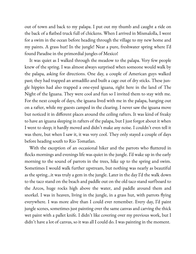out of town and back to my palapa. I put out my thumb and caught a ride on the back of a flatbed truck full of chickens. When I arrived in Mismalolla, I went for a swim in the ocean before heading through the village to my new home and my paints. A grass hut! In the jungle! Near a pure, freshwater spring where I'd found Paradise in the primordial jungles of Mexico!

It was quiet as I walked through the meadow to the palapa. Very few people knew of the spring. I was almost always surprised when someone would walk by the palapa, asking for directions. One day, a couple of American guys walked past; they had trapped an armadillo and built a cage out of dry sticks. These jungle hippies had also trapped a one-eyed iguana, right here in the land of The Night of the Iguana. They were cool and fun so I invited them to stay with me. For the next couple of days, the iguana lived with me in the palapa, hanging out on a rafter, while my guests camped in the clearing. I never saw the iguana move but noticed it in different places around the ceiling rafters. It was kind of freaky to have an iguana sleeping in rafters of the palapa, but I just forgot about it when I went to sleep; it hardly moved and didn't make any noise. I couldn't even tell it was there, but when I saw it, it was very cool. They only stayed a couple of days before heading south to Rio Tomatlan.

With the exception of an occasional hiker and the parrots who fluttered in flocks mornings and evenings life was quiet in the jungle. I'd wake up in the early morning to the sound of parrots in the trees, hike up to the spring and swim. Sometimes I would walk further upstream, but nothing was nearly as beautiful as the spring…it was truly a gem in the jungle. Later in the day I'd the walk down to the taco stand on the beach and paddle out on the old taco stand surfboard to the Arcos, huge rocks high above the water, and paddle around them and snorkel. I was in heaven, living in the jungle, in a grass hut, with parrots flying everywhere. I was more alive than I could ever remember. Every day, I'd paint jungle scenes, sometimes just painting over the same canvas and carving the thick wet paint with a pallet knife. I didn't like covering over my previous work, but I didn't have a lot of canvas, so it was all I could do. I was painting in the moment.